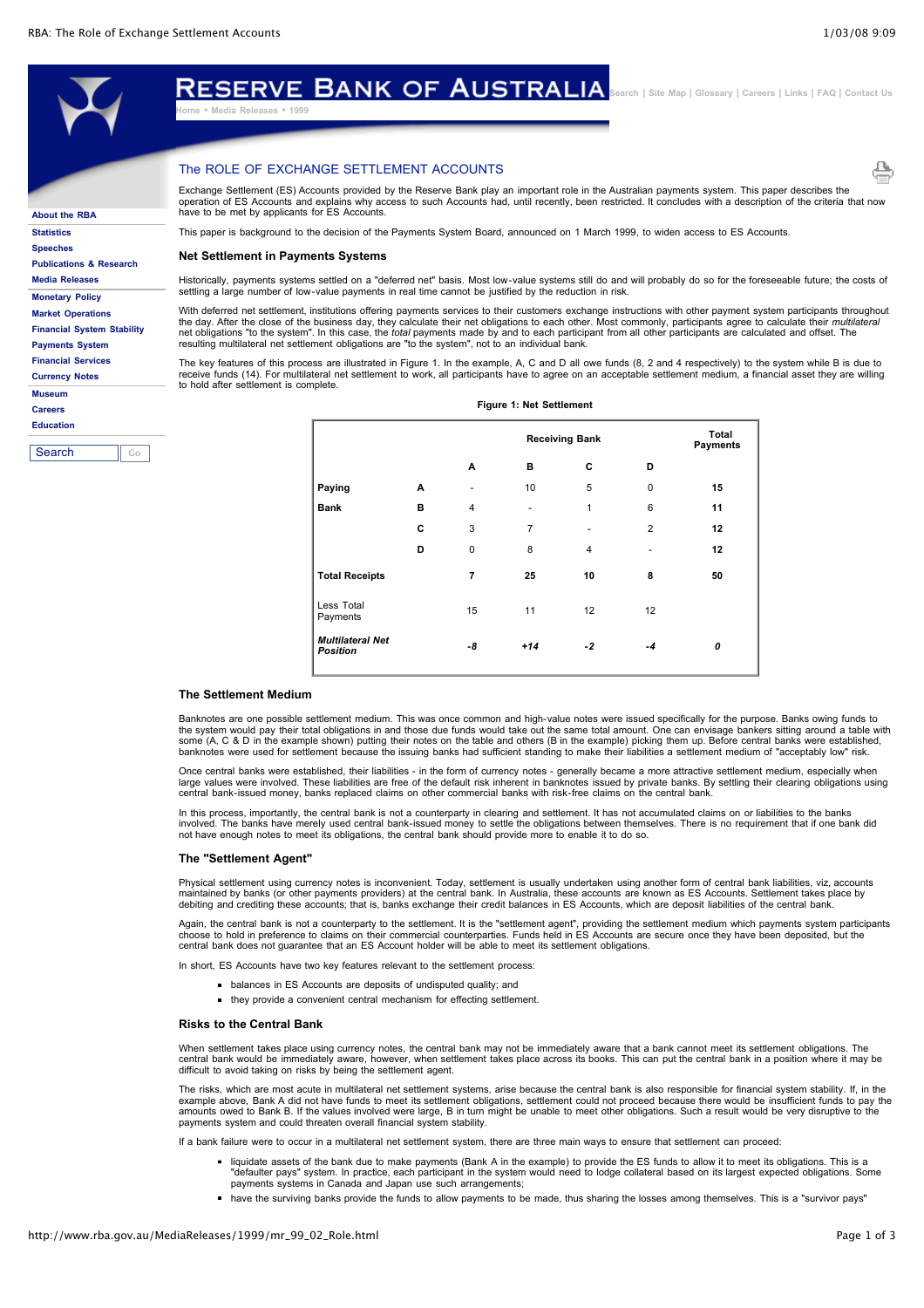**Go**



With deferred net settlement, institutions offering payments services to their customers exchange instructions with other payment system participants throughout<br>the day. After the close of the business day, they calculate

The key features of this process are illustrated in Figure 1. In the example, A, C and D all owe funds (8, 2 and 4 respectively) to the system while B is due to<br>receive funds (14). For multilateral net settlement to work,

|                                            |   |                | <b>Receiving Bank</b> |                |                | Total<br><b>Payments</b> |
|--------------------------------------------|---|----------------|-----------------------|----------------|----------------|--------------------------|
|                                            |   | A              | в                     | c              | D              |                          |
| Paying                                     | Α |                | 10                    | 5              | 0              | 15                       |
| <b>Bank</b>                                | в | $\overline{4}$ | ٠                     | 1              | 6              | 11                       |
|                                            | C | 3              | $\overline{7}$        | ٠              | $\overline{2}$ | 12                       |
|                                            | D | 0              | 8                     | $\overline{4}$ |                | 12                       |
| <b>Total Receipts</b>                      |   | 7              | 25                    | 10             | 8              | 50                       |
| Less Total<br>Payments                     |   | 15             | 11                    | 12             | 12             |                          |
| <b>Multilateral Net</b><br><b>Position</b> |   | -8             | $+14$                 | -2             | -4             | 0                        |
|                                            |   |                |                       |                |                |                          |

# **The Settlement Medium**

Banknotes are one possible settlement medium. This was once common and high-value notes were issued specifically for the purpose. Banks owing funds to the system would pay their total obligations in and those due funds would take out the same total amount. One can envisage bankers sitting around a table with<br>some (A, C & D in the example shown) putting their notes on the

Once central banks were established, their liabilities - in the form of currency notes - generally became a more attractive settlement medium, especially when large values were involved. These liabilities are free of the default risk inherent in banknotes issued by private banks. By settling their clearing obligations using<br>central bank-issued money, banks replaced claims on oth

In this process, importantly, the central bank is not a counterparty in clearing and settlement. It has not accumulated claims on or liabilities to the banks<br>involved. The banks have merely used central bank-issued money t

# **The "Settlement Agent"**

Physical settlement using currency notes is inconvenient. Today, settlement is usually undertaken using another form of central bank liabilities, viz, accounts<br>maintained by banks (or other payments providers) at the centr debiting and crediting these accounts; that is, banks exchange their credit balances in ES Accounts, which are deposit liabilities of the central bank.

Again, the central bank is not a counterparty to the settlement. It is the "settlement agent", providing the settlement medium which payments system participants choose to hold in preference to claims on their commercial counterparties. Funds held in ES Accounts are secure once they have been deposited, but the<br>central bank does not guarantee that an ES Account holder will be able

In short, ES Accounts have two key features relevant to the settlement process

- balances in ES Accounts are deposits of undisputed quality; and
- they provide a convenient central mechanism for effecting settlement.

#### **Risks to the Central Bank**

When settlement takes place using currency notes, the central bank may not be immediately aware that a bank cannot meet its settlement obligations. The<br>central bank would be immediately aware, however, when settlement take difficult to avoid taking on risks by being the settlement agent.

The risks, which are most acute in multilateral net settlement systems, arise because the central bank is also responsible for financial system stability. If, in the example above, Bank A did not have funds to meet its settlement obligations, settlement could not proceed because there would be insufficient funds to pay the<br>amounts owed to Bank B. If the values involved were large, B in payments system and could threaten overall financial system stability.

If a bank failure were to occur in a multilateral net settlement system, there are three main ways to ensure that settlement can proceed:

- liquidate assets of the bank due to make payments (Bank A in the example) to provide the ES funds to allow it to meet its obligations. This is a "defaulter pays" system. In practice, each participant in the system would need to lodge collateral based on its largest expected obligations. Some payments systems in Canada and Japan use such arrangements;
- have the surviving banks provide the funds to allow payments to be made, thus sharing the losses among themselves. This is a "survivor pays"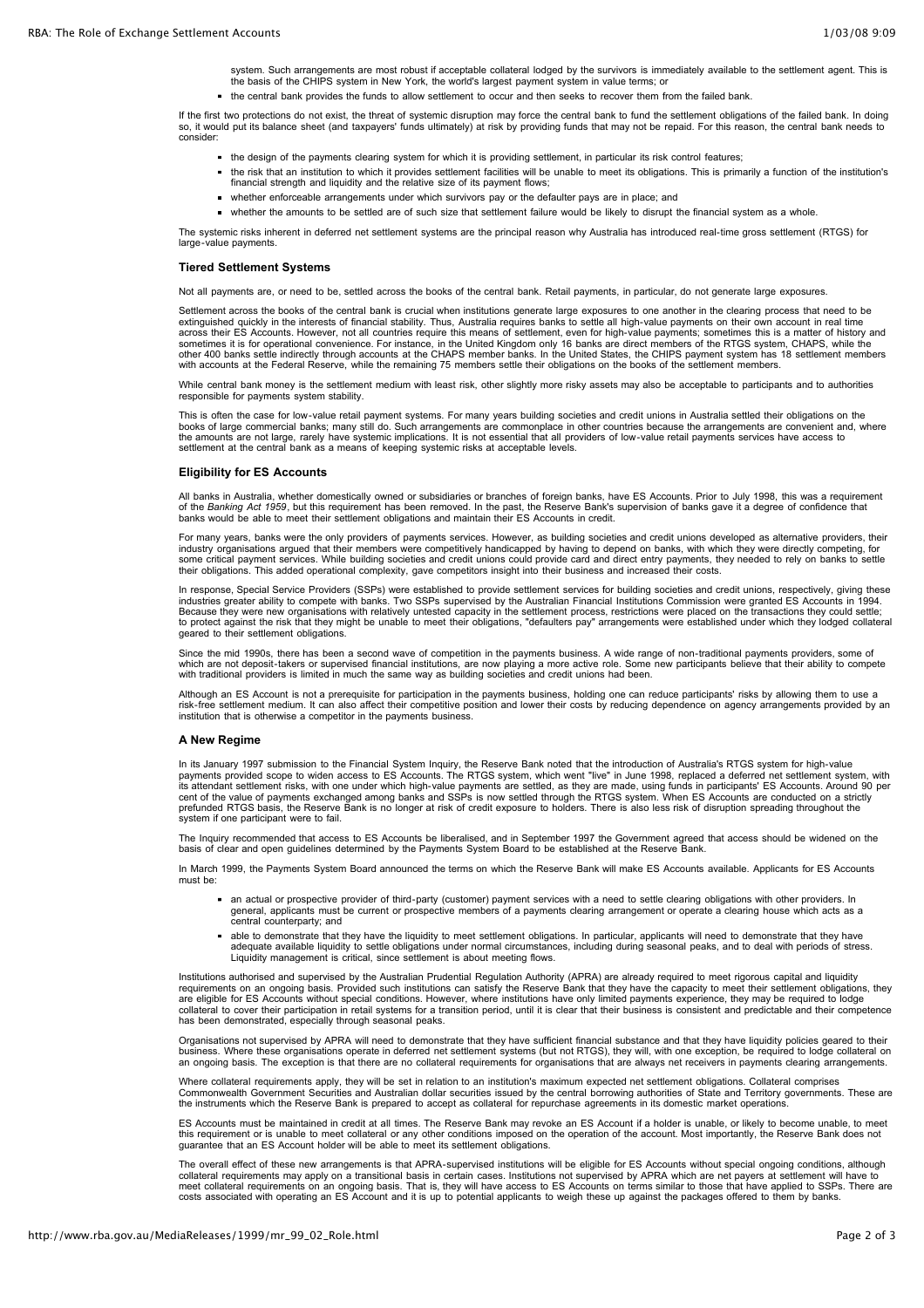system. Such arrangements are most robust if acceptable collateral lodged by the survivors is immediately available to the settlement agent. This is the basis of the CHIPS system in New York, the world's largest payment system in value terms; or

the central bank provides the funds to allow settlement to occur and then seeks to recover them from the failed bank.

If the first two protections do not exist, the threat of systemic disruption may force the central bank to fund the settlement obligations of the failed bank. In doing<br>so, it would put its balance sheet (and taxpayers' fun consider:

- the design of the payments clearing system for which it is providing settlement, in particular its risk control features;
- the risk that an institution to which it provides settlement facilities will be unable to meet its obligations. This is primarily a function of the institution's<br>financial strength and liquidity and the relative size of it
- whether enforceable arrangements under which survivors pay or the defaulter pays are in place; and
- whether the amounts to be settled are of such size that settlement failure would be likely to disrupt the financial system as a whole.

The systemic risks inherent in deferred net settlement systems are the principal reason why Australia has introduced real-time gross settlement (RTGS) for large-value payments

## **Tiered Settlement Systems**

Not all payments are, or need to be, settled across the books of the central bank. Retail payments, in particular, do not generate large exposures.

Settlement across the books of the central bank is crucial when institutions generate large exposures to one another in the clearing process that need to be<br>extinguished quickly in the interests of financial stability. Thu sometimes it is for operational convenience. For instance, in the United Kingdom only 16 banks are direct members of the RTGS system, CHAPS, while the<br>other 400 banks settle indirectly through accounts at the CHAPS member with accounts at the Federal Reserve, while the remaining 75 members settle their obligations on the books of the settlement members.

While central bank money is the settlement medium with least risk, other slightly more risky assets may also be acceptable to participants and to authorities responsible for payments system stability.

This is often the case for low-value retail payment systems. For many years building societies and credit unions in Australia settled their obligations on the<br>books of large commercial banks; many still do. Such arrangemen settlement at the central bank as a means of keeping systemic risks at acceptable levels.

### **Eligibility for ES Accounts**

All banks in Australia, whether domestically owned or subsidiaries or branches of foreign banks, have ES Accounts. Prior to July 1998, this was a requirement of the *Banking Act 1959*, but this requirement has been removed. In the past, the Reserve Bank's supervision of banks gave it a degree of confidence that<br>banks would be able to meet their settlement obligations and mainta

For many years, banks were the only providers of payments services. However, as building societies and credit unions developed as alternative providers, their industry organisations argued that their members were competitively handicapped by having to depend on banks, with which they were directly competing, for<br>some critical payment services. While building societies and credit their obligations. This added operational complexity, gave competitors insight into their business and increased their costs.

In response, Special Service Providers (SSPs) were established to provide settlement services for building societies and credit unions, respectively, giving these industries greater ability to compete with banks. Two SSPs supervised by the Australian Financial Institutions Commission were granted ES Accounts in 1994.<br>Because they were new organisations with relatively untested capac to protect against the risk that they might be unable to meet their obligations, "defaulters pay" arrangements were established under which they lodged collateral geared to their settlement obligations.

Since the mid 1990s, there has been a second wave of competition in the payments business. A wide range of non-traditional payments providers, some of<br>which are not deposit-takers or supervised financial institutions, are

Although an ES Account is not a prerequisite for participation in the payments business, holding one can reduce participants' risks by allowing them to use a risk-free settlement medium. It can also affect their competitive position and lower their costs by reducing dependence on agency arrangements provided by an<br>institution that is otherwise a competitor in the payments busin

# **A New Regime**

In its January 1997 submission to the Financial System Inquiry, the Reserve Bank noted that the introduction of Australia's RTGS system for high-value payments provided scope to widen access to ES Accounts. The RTGS system, which went "live" in June 1998, replaced a deferred net settlement system, with<br>its attendant settlement risks, with one under which high-value payme prefunded RTGS basis, the Reserve Bank is no longer at risk of credit exposure to holders. There is also less risk of disruption spreading throughout the system if one participant were to fail.

The Inquiry recommended that access to ES Accounts be liberalised, and in September 1997 the Government agreed that access should be widened on the basis of clear and open guidelines determined by the Payments System Board to be established at the Reserve Bank.

In March 1999, the Payments System Board announced the terms on which the Reserve Bank will make ES Accounts available. Applicants for ES Accounts must be:

- an actual or prospective provider of third-party (customer) payment services with a need to settle clearing obligations with other providers. In general, applicants must be current or prospective members of a payments clearing arrangement or operate a clearing house which acts as a general, applicants must be current or prospective members of a payments clearing ar central counterparty; and
- able to demonstrate that they have the liquidity to meet settlement obligations. In particular, applicants will need to demonstrate that they have<br>adequate available liquidity to settle obligations under normal circumstanc Liquidity management is critical, since settlement is about meeting flows.

Institutions authorised and supervised by the Australian Prudential Regulation Authority (APRA) are already required to meet rigorous capital and liquidity requirements on an ongoing basis. Provided such institutions can satisfy the Reserve Bank that they have the capacity to meet their settlement obligations, they<br>are eligible for ES Accounts without special conditions. Howe

Organisations not supervised by APRA will need to demonstrate that they have sufficient financial substance and that they have liquidity policies geared to their business. Where these organisations operate in deferred net settlement systems (but not RTGS), they will, with one exception, be required to lodge collateral on an ongoing basis. The exception is that there are no collateral requirements for organisations that are always net receivers in payments clearing arrangements.

Where collateral requirements apply, they will be set in relation to an institution's maximum expected net settlement obligations. Collateral comprises Commonwealth Government Securities and Australian dollar securities issued by the central borrowing authorities of State and Territory governments. These are<br>the instruments which the Reserve Bank is prepared to accept as

ES Accounts must be maintained in credit at all times. The Reserve Bank may revoke an ES Account if a holder is unable, or likely to become unable, to meet this requirement or is unable to meet collateral or any other conditions imposed on the operation of the account. Most importantly, the Reserve Bank does not guarantee that an ES Account holder will be able to meet its settlement obligations.

The overall effect of these new arrangements is that APRA-supervised institutions will be eligible for ES Accounts without special ongoing conditions, although collateral requirements may apply on a transitional basis in certain cases. Institutions not supervised by APRA which are net payers at settlement will have to<br>meet collateral requirements on an ongoing basis. That is, the costs associated with operating an ES Account and it is up to potential applicants to weigh these up against the packages offered to them by banks.